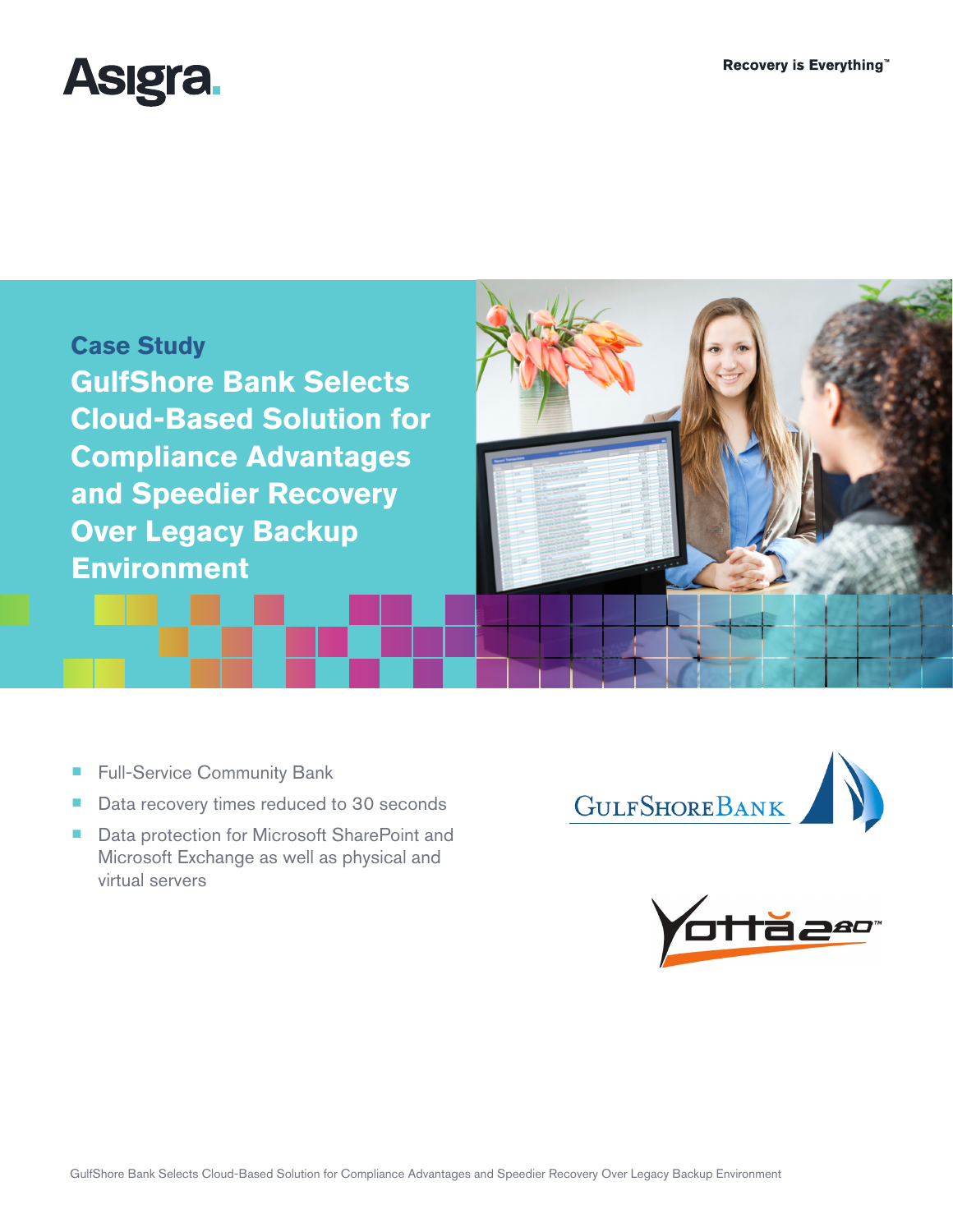

**Case Study GulfShore Bank Selects Cloud-Based Solution for Compliance Advantages and Speedier Recovery Over Legacy Backup Environment**

> $\sum_{i=1}^{n}$ GULFSHOREBANK



■ Full-Service Community Bank

- Data recovery times reduced to 30 seconds
- Data protection for Microsoft SharePoint and Microsoft Exchange as well as physical and virtual servers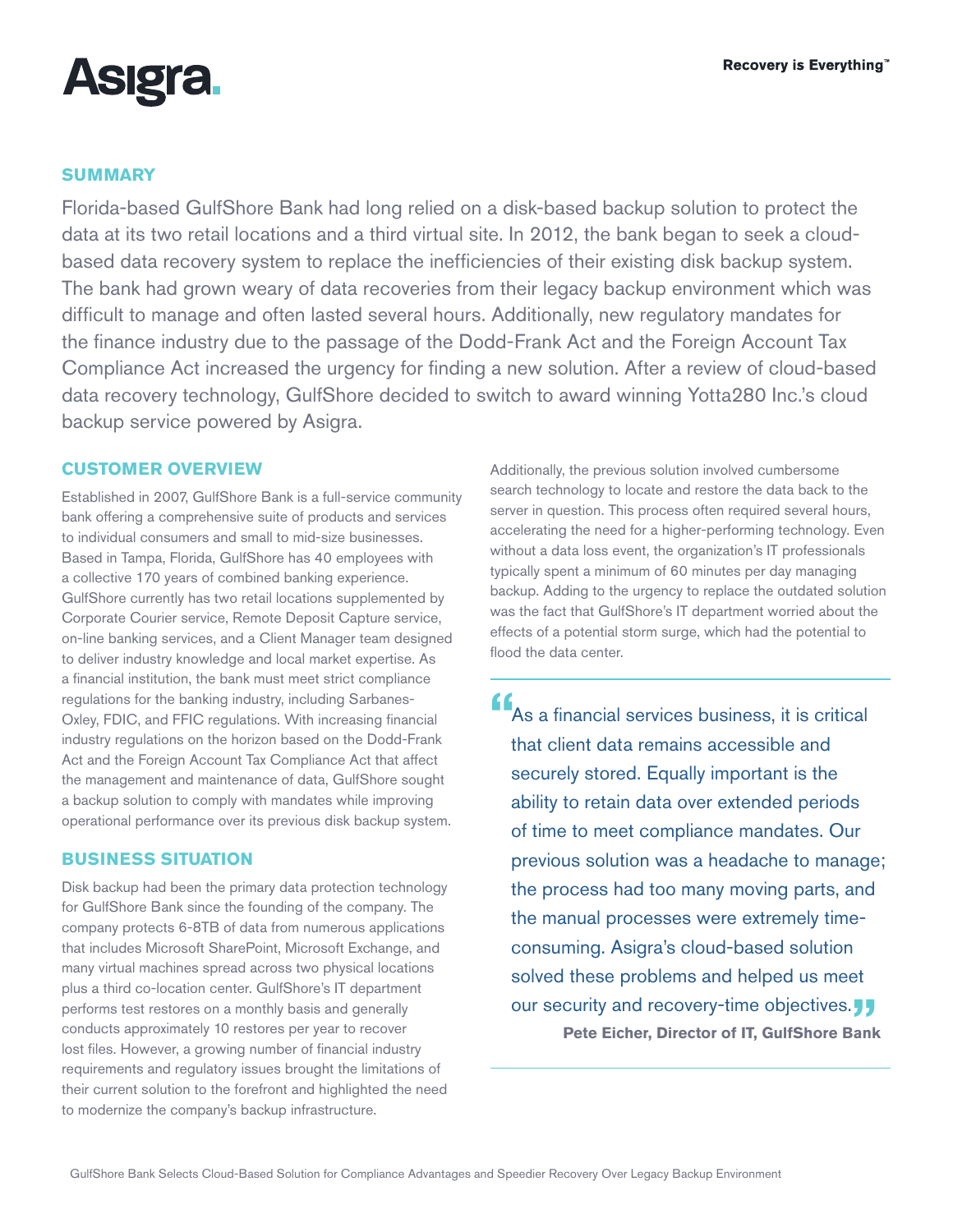

# **SUMMARY**

Florida-based GulfShore Bank had long relied on a disk-based backup solution to protect the data at its two retail locations and a third virtual site. In 2012, the bank began to seek a cloudbased data recovery system to replace the inefficiencies of their existing disk backup system. The bank had grown weary of data recoveries from their legacy backup environment which was difficult to manage and often lasted several hours. Additionally, new regulatory mandates for the finance industry due to the passage of the Dodd-Frank Act and the Foreign Account Tax Compliance Act increased the urgency for finding a new solution. After a review of cloud-based data recovery technology, GulfShore decided to switch to award winning Yotta280 Inc.'s cloud backup service powered by Asigra.

## **CUSTOMER OVERVIEW**

Established in 2007, GulfShore Bank is a full-service community bank offering a comprehensive suite of products and services to individual consumers and small to mid-size businesses. Based in Tampa, Florida, GulfShore has 40 employees with a collective 170 years of combined banking experience. GulfShore currently has two retail locations supplemented by Corporate Courier service, Remote Deposit Capture service, on-line banking services, and a Client Manager team designed to deliver industry knowledge and local market expertise. As a financial institution, the bank must meet strict compliance regulations for the banking industry, including Sarbanes-Oxley, FDIC, and FFIC regulations. With increasing financial industry regulations on the horizon based on the Dodd-Frank Act and the Foreign Account Tax Compliance Act that affect the management and maintenance of data, GulfShore sought a backup solution to comply with mandates while improving operational performance over its previous disk backup system.

### **BUSINESS SITUATION**

Disk backup had been the primary data protection technology for GulfShore Bank since the founding of the company. The company protects 6-8TB of data from numerous applications that includes Microsoft SharePoint, Microsoft Exchange, and many virtual machines spread across two physical locations plus a third co-location center. GulfShore's IT department performs test restores on a monthly basis and generally conducts approximately 10 restores per year to recover lost files. However, a growing number of financial industry requirements and regulatory issues brought the limitations of their current solution to the forefront and highlighted the need to modernize the company's backup infrastructure.

Additionally, the previous solution involved cumbersome search technology to locate and restore the data back to the server in question. This process often required several hours, accelerating the need for a higher-performing technology. Even without a data loss event, the organization's IT professionals typically spent a minimum of 60 minutes per day managing backup. Adding to the urgency to replace the outdated solution was the fact that GulfShore's IT department worried about the effects of a potential storm surge, which had the potential to flood the data center.

**"**As a financial services business, it is critical that client data remains accessible and securely stored. Equally important is the ability to retain data over extended periods of time to meet compliance mandates. Our previous solution was a headache to manage; the process had too many moving parts, and the manual processes were extremely timeconsuming. Asigra's cloud-based solution solved these problems and helped us meet our security and recovery-time objectives. **J**<br>Pete Eicher, Director of IT, GulfShore Bank **Pete Eicher, Director of IT, GulfShore Bank**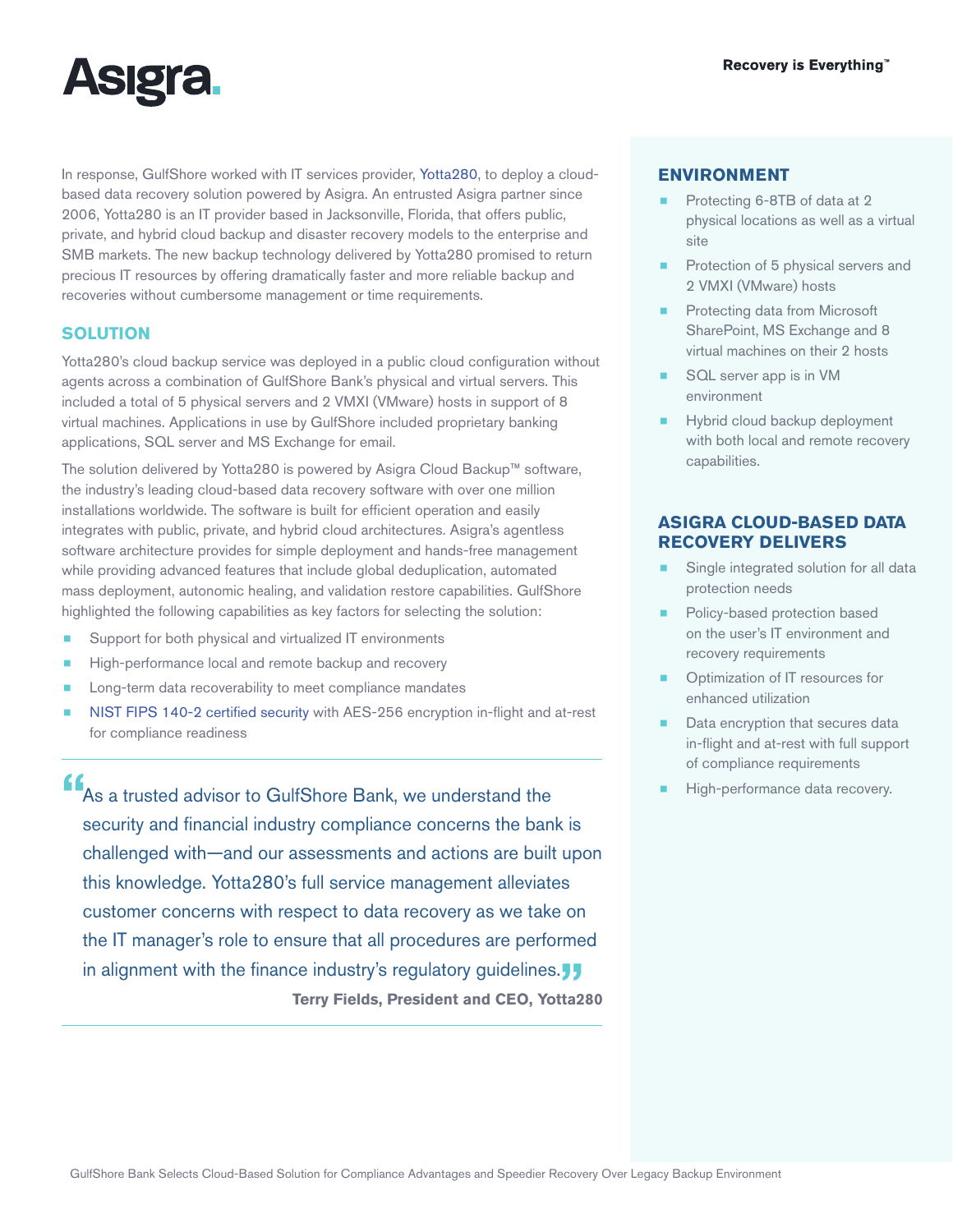

In response, GulfShore worked with IT services provider, [Yotta280,](http://www.yotta280.com) to deploy a cloudbased data recovery solution powered by Asigra. An entrusted Asigra partner since 2006, Yotta280 is an IT provider based in Jacksonville, Florida, that offers public, private, and hybrid cloud backup and disaster recovery models to the enterprise and SMB markets. The new backup technology delivered by Yotta280 promised to return precious IT resources by offering dramatically faster and more reliable backup and recoveries without cumbersome management or time requirements.

# **SOLUTION**

Yotta280's cloud backup service was deployed in a public cloud configuration without agents across a combination of GulfShore Bank's physical and virtual servers. This included a total of 5 physical servers and 2 VMXI (VMware) hosts in support of 8 virtual machines. Applications in use by GulfShore included proprietary banking applications, SQL server and MS Exchange for email.

The solution delivered by Yotta280 is powered by Asigra Cloud Backup™ software, the industry's leading cloud-based data recovery software with over one million installations worldwide. The software is built for efficient operation and easily integrates with public, private, and hybrid cloud architectures. Asigra's agentless software architecture provides for simple deployment and hands-free management while providing advanced features that include global deduplication, automated mass deployment, autonomic healing, and validation restore capabilities. GulfShore highlighted the following capabilities as key factors for selecting the solution:

- Support for both physical and virtualized IT environments
- High-performance local and remote backup and recovery
- Long-term data recoverability to meet compliance mandates
- [NIST FIPS 140-2 certified security](http://www.asigra.com/fips-140-2-certification-backup) with AES-256 encryption in-flight and at-rest for compliance readiness

**"**As a trusted advisor to GulfShore Bank, we understand the security and financial industry compliance concerns the bank is challenged with—and our assessments and actions are built upon this knowledge. Yotta280's full service management alleviates customer concerns with respect to data recovery as we take on the IT manager's role to ensure that all procedures are performed in alignment with the finance industry's regulatory guidelines.**" Terry Fields, President and CEO, Yotta280**

## **ENVIRONMENT**

- Protecting 6-8TB of data at 2 physical locations as well as a virtual site
- Protection of 5 physical servers and 2 VMXI (VMware) hosts
- Protecting data from Microsoft SharePoint, MS Exchange and 8 virtual machines on their 2 hosts
- SQL server app is in VM environment
- Hybrid cloud backup deployment with both local and remote recovery capabilities.

# **ASIGRA CLOUD-BASED DATA RECOVERY DELIVERS**

- Single integrated solution for all data protection needs
- Policy-based protection based on the user's IT environment and recovery requirements
- Optimization of IT resources for enhanced utilization
- Data encryption that secures data in-flight and at-rest with full support of compliance requirements
- High-performance data recovery.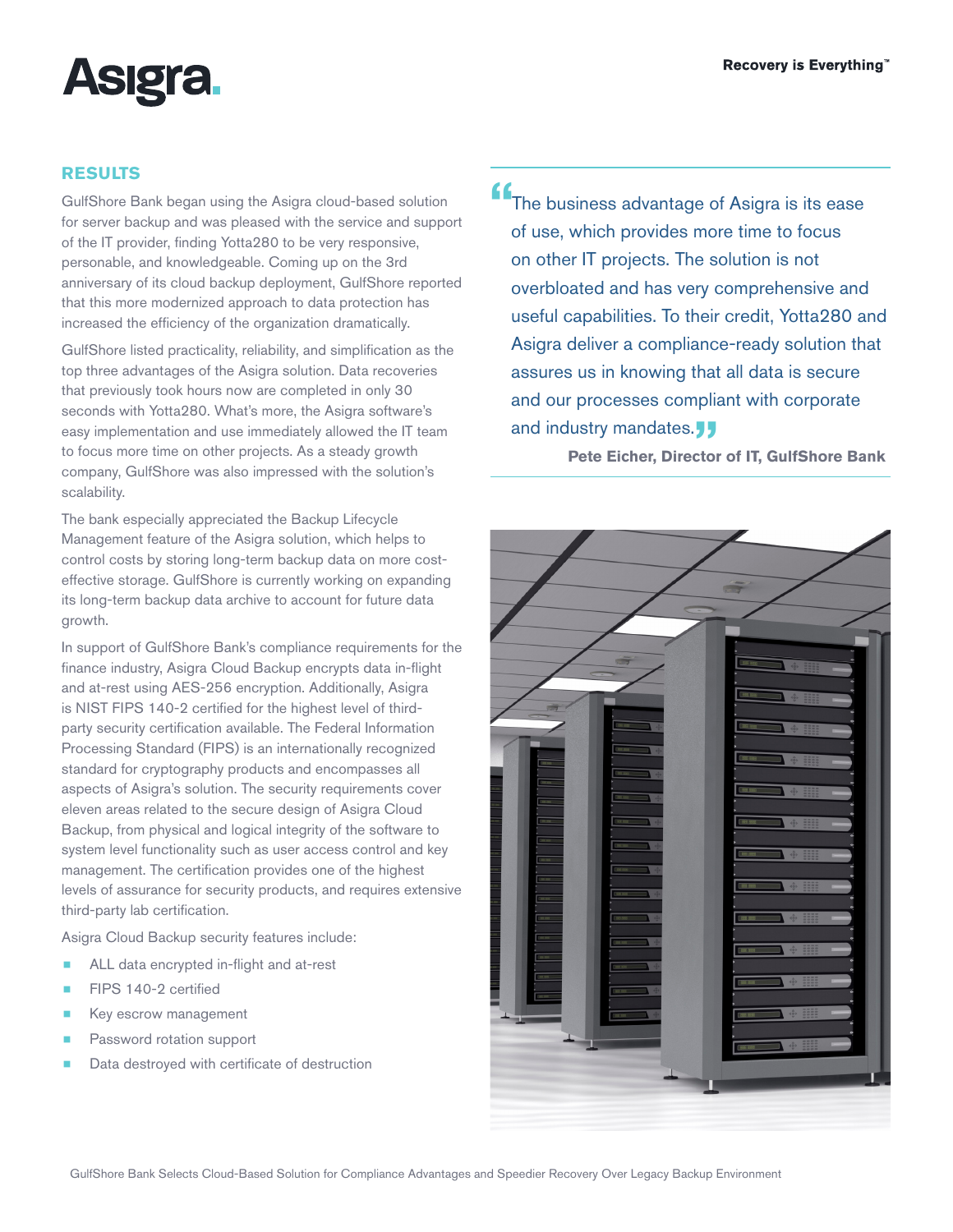

## **RESULTS**

GulfShore Bank began using the Asigra cloud-based solution for server backup and was pleased with the service and support of the IT provider, finding Yotta280 to be very responsive, personable, and knowledgeable. Coming up on the 3rd anniversary of its cloud backup deployment, GulfShore reported that this more modernized approach to data protection has increased the efficiency of the organization dramatically.

GulfShore listed practicality, reliability, and simplification as the top three advantages of the Asigra solution. Data recoveries that previously took hours now are completed in only 30 seconds with Yotta280. What's more, the Asigra software's easy implementation and use immediately allowed the IT team to focus more time on other projects. As a steady growth company, GulfShore was also impressed with the solution's scalability.

The bank especially appreciated the Backup Lifecycle Management feature of the Asigra solution, which helps to control costs by storing long-term backup data on more costeffective storage. GulfShore is currently working on expanding its long-term backup data archive to account for future data growth.

In support of GulfShore Bank's compliance requirements for the finance industry, Asigra Cloud Backup encrypts data in-flight and at-rest using AES-256 encryption. Additionally, Asigra is NIST FIPS 140-2 certified for the highest level of thirdparty security certification available. The Federal Information Processing Standard (FIPS) is an internationally recognized standard for cryptography products and encompasses all aspects of Asigra's solution. The security requirements cover eleven areas related to the secure design of Asigra Cloud Backup, from physical and logical integrity of the software to system level functionality such as user access control and key management. The certification provides one of the highest levels of assurance for security products, and requires extensive third-party lab certification.

Asigra Cloud Backup security features include:

- ALL data encrypted in-flight and at-rest
- FIPS 140-2 certified
- Key escrow management
- Password rotation support
- Data destroyed with certificate of destruction

**"**The business advantage of Asigra is its ease of use, which provides more time to focus on other IT projects. The solution is not overbloated and has very comprehensive and useful capabilities. To their credit, Yotta280 and Asigra deliver a compliance-ready solution that assures us in knowing that all data is secure and our processes compliant with corporate and industry mandates.<sub>J</sub><br>Pete Eicher, Director

**Pete Eicher, Director of IT, GulfShore Bank**